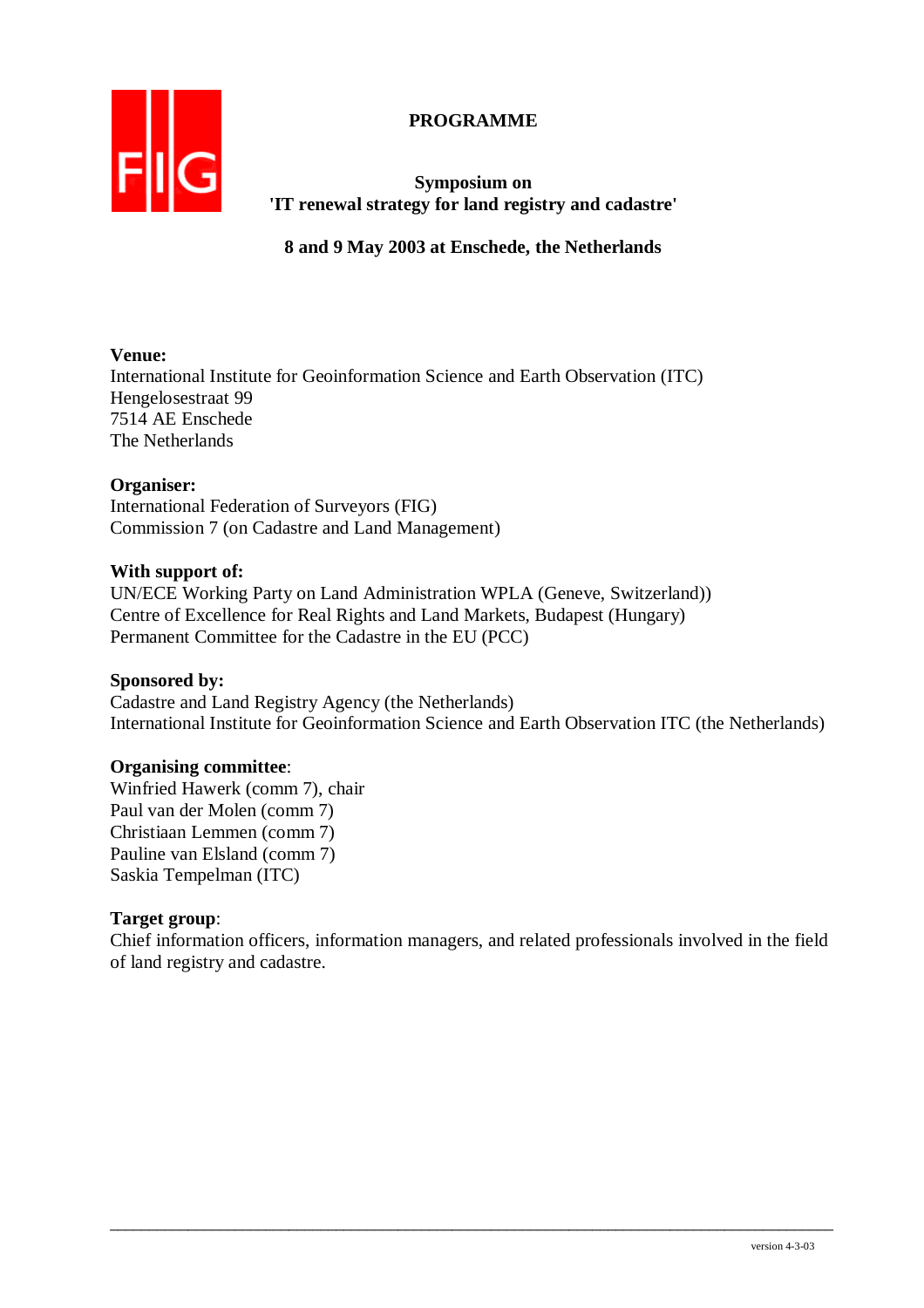## **PROGRAMME**



**Symposium on 'IT renewal strategy for land registry and cadastre'** 

**8 and 9 May 2003 at Enschede, the Netherlands** 

## **Venue:**

International Institute for Geoinformation Science and Earth Observation (ITC) Hengelosestraat 99 7514 AE Enschede The Netherlands

## **Organiser:**

International Federation of Surveyors (FIG) Commission 7 (on Cadastre and Land Management)

## **With support of:**

UN/ECE Working Party on Land Administration WPLA (Geneve, Switzerland)) Centre of Excellence for Real Rights and Land Markets, Budapest (Hungary) Permanent Committee for the Cadastre in the EU (PCC)

## **Sponsored by:**

Cadastre and Land Registry Agency (the Netherlands) International Institute for Geoinformation Science and Earth Observation ITC (the Netherlands)

## **Organising committee**:

Winfried Hawerk (comm 7), chair Paul van der Molen (comm 7) Christiaan Lemmen (comm 7) Pauline van Elsland (comm 7) Saskia Tempelman (ITC)

## **Target group**:

Chief information officers, information managers, and related professionals involved in the field of land registry and cadastre.

 $\overline{\phantom{a}}$  ,  $\overline{\phantom{a}}$  ,  $\overline{\phantom{a}}$  ,  $\overline{\phantom{a}}$  ,  $\overline{\phantom{a}}$  ,  $\overline{\phantom{a}}$  ,  $\overline{\phantom{a}}$  ,  $\overline{\phantom{a}}$  ,  $\overline{\phantom{a}}$  ,  $\overline{\phantom{a}}$  ,  $\overline{\phantom{a}}$  ,  $\overline{\phantom{a}}$  ,  $\overline{\phantom{a}}$  ,  $\overline{\phantom{a}}$  ,  $\overline{\phantom{a}}$  ,  $\overline{\phantom{a}}$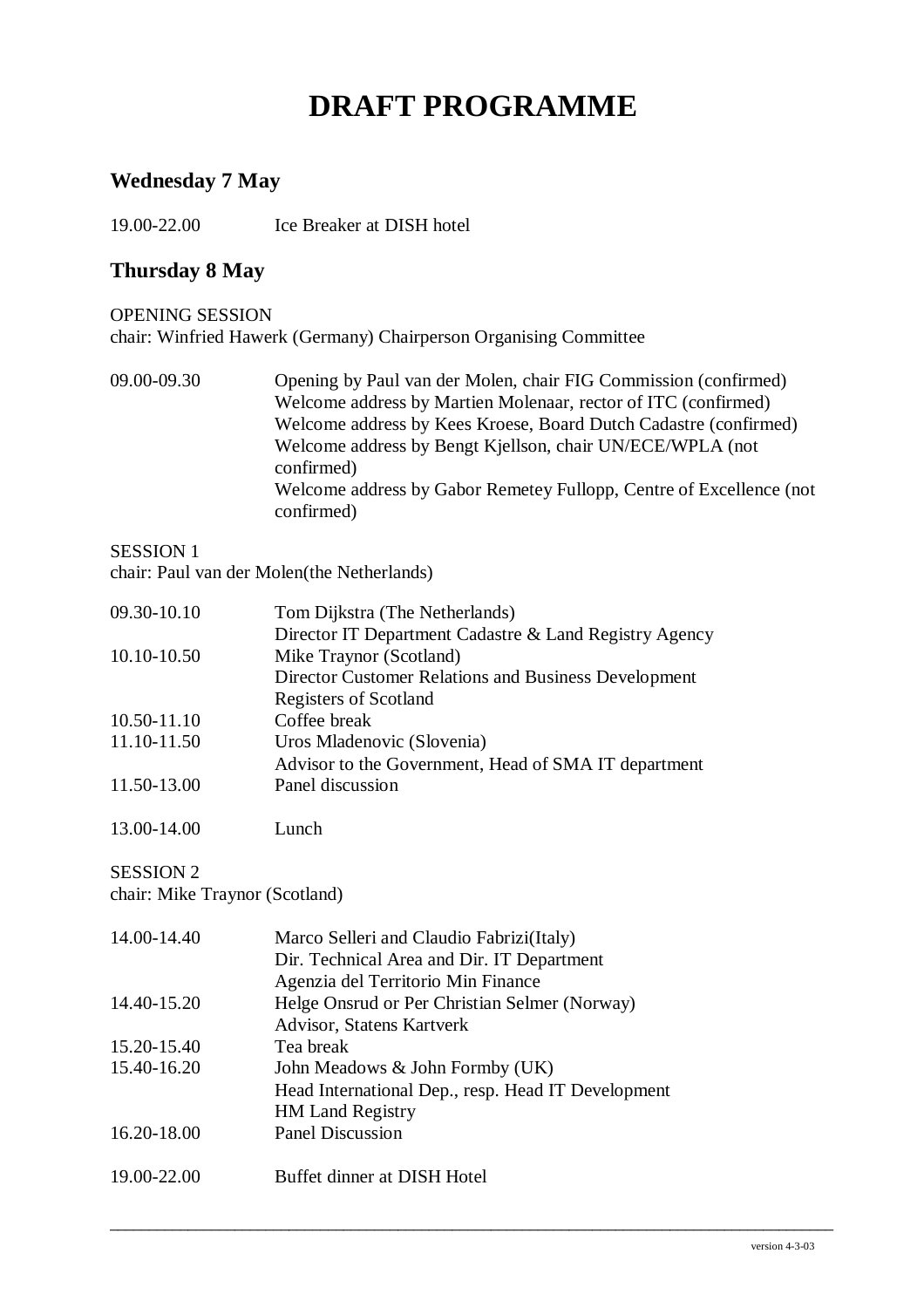# **DRAFT PROGRAMME**

## **Wednesday 7 May**

19.00-22.00 Ice Breaker at DISH hotel

## **Thursday 8 May**

## OPENING SESSION chair: Winfried Hawerk (Germany) Chairperson Organising Committee

09.00-09.30 Opening by Paul van der Molen, chair FIG Commission (confirmed) Welcome address by Martien Molenaar, rector of ITC (confirmed) Welcome address by Kees Kroese, Board Dutch Cadastre (confirmed) Welcome address by Bengt Kjellson, chair UN/ECE/WPLA (not confirmed) Welcome address by Gabor Remetey Fullopp, Centre of Excellence (not confirmed)

#### SESSION 1

chair: Paul van der Molen(the Netherlands)

| 09.30-10.10 | Tom Dijkstra (The Netherlands)                         |  |
|-------------|--------------------------------------------------------|--|
|             | Director IT Department Cadastre & Land Registry Agency |  |
| 10.10-10.50 | Mike Traynor (Scotland)                                |  |
|             | Director Customer Relations and Business Development   |  |
|             | <b>Registers of Scotland</b>                           |  |
| 10.50-11.10 | Coffee break                                           |  |
| 11.10-11.50 | Uros Mladenovic (Slovenia)                             |  |
|             | Advisor to the Government, Head of SMA IT department   |  |
| 11.50-13.00 | Panel discussion                                       |  |
|             |                                                        |  |
|             |                                                        |  |

## SESSION 2

chair: Mike Traynor (Scotland)

13.00-14.00 Lunch

| 14.00-14.40 | Marco Selleri and Claudio Fabrizi (Italy)          |
|-------------|----------------------------------------------------|
|             | Dir. Technical Area and Dir. IT Department         |
|             | Agenzia del Territorio Min Finance                 |
| 14.40-15.20 | Helge Onsrud or Per Christian Selmer (Norway)      |
|             | Advisor, Statens Kartverk                          |
| 15.20-15.40 | Tea break                                          |
| 15.40-16.20 | John Meadows & John Formby (UK)                    |
|             | Head International Dep., resp. Head IT Development |
|             | <b>HM Land Registry</b>                            |
| 16.20-18.00 | <b>Panel Discussion</b>                            |
|             |                                                    |
| 19.00-22.00 | Buffet dinner at DISH Hotel                        |

 $\overline{\phantom{a}}$  ,  $\overline{\phantom{a}}$  ,  $\overline{\phantom{a}}$  ,  $\overline{\phantom{a}}$  ,  $\overline{\phantom{a}}$  ,  $\overline{\phantom{a}}$  ,  $\overline{\phantom{a}}$  ,  $\overline{\phantom{a}}$  ,  $\overline{\phantom{a}}$  ,  $\overline{\phantom{a}}$  ,  $\overline{\phantom{a}}$  ,  $\overline{\phantom{a}}$  ,  $\overline{\phantom{a}}$  ,  $\overline{\phantom{a}}$  ,  $\overline{\phantom{a}}$  ,  $\overline{\phantom{a}}$